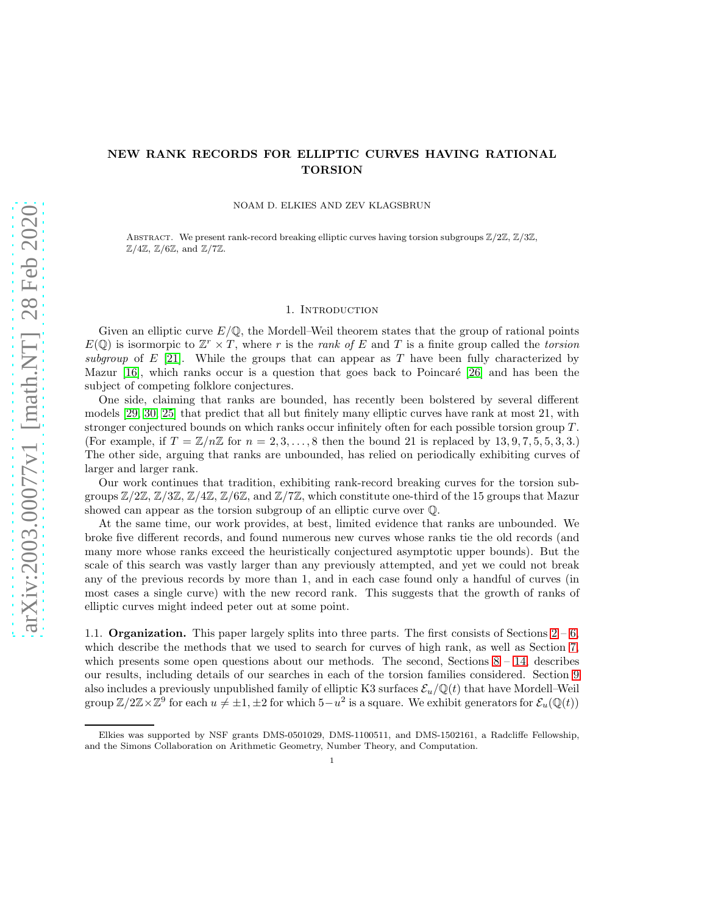# NEW RANK RECORDS FOR ELLIPTIC CURVES HAVING RATIONAL TORSION

NOAM D. ELKIES AND ZEV KLAGSBRUN

ABSTRACT. We present rank-record breaking elliptic curves having torsion subgroups  $\mathbb{Z}/2\mathbb{Z}, \mathbb{Z}/3\mathbb{Z},$  $\mathbb{Z}/4\mathbb{Z}$ ,  $\mathbb{Z}/6\mathbb{Z}$ , and  $\mathbb{Z}/7\mathbb{Z}$ .

## 1. INTRODUCTION

Given an elliptic curve  $E/\mathbb{Q}$ , the Mordell–Weil theorem states that the group of rational points  $E(\mathbb{Q})$  is isormorpic to  $\mathbb{Z}^r \times T$ , where r is the rank of E and T is a finite group called the torsion subgroup of  $E$  [\[21\]](#page-14-0). While the groups that can appear as  $T$  have been fully characterized by Mazur  $[16]$ , which ranks occur is a question that goes back to Poincaré  $[26]$  and has been the subject of competing folklore conjectures.

One side, claiming that ranks are bounded, has recently been bolstered by several different models [\[29,](#page-14-3) [30,](#page-14-4) [25\]](#page-14-5) that predict that all but finitely many elliptic curves have rank at most 21, with stronger conjectured bounds on which ranks occur infinitely often for each possible torsion group  $T$ . (For example, if  $T = \mathbb{Z}/n\mathbb{Z}$  for  $n = 2, 3, \ldots, 8$  then the bound 21 is replaced by 13, 9, 7, 5, 5, 3, 3.) The other side, arguing that ranks are unbounded, has relied on periodically exhibiting curves of larger and larger rank.

Our work continues that tradition, exhibiting rank-record breaking curves for the torsion subgroups  $\mathbb{Z}/2\mathbb{Z}, \mathbb{Z}/3\mathbb{Z}, \mathbb{Z}/4\mathbb{Z}, \mathbb{Z}/6\mathbb{Z}$ , and  $\mathbb{Z}/7\mathbb{Z}$ , which constitute one-third of the 15 groups that Mazur showed can appear as the torsion subgroup of an elliptic curve over Q.

At the same time, our work provides, at best, limited evidence that ranks are unbounded. We broke five different records, and found numerous new curves whose ranks tie the old records (and many more whose ranks exceed the heuristically conjectured asymptotic upper bounds). But the scale of this search was vastly larger than any previously attempted, and yet we could not break any of the previous records by more than 1, and in each case found only a handful of curves (in most cases a single curve) with the new record rank. This suggests that the growth of ranks of elliptic curves might indeed peter out at some point.

1.1. **Organization.** This paper largely splits into three parts. The first consists of Sections  $2 - 6$ , which describe the methods that we used to search for curves of high rank, as well as Section [7,](#page-5-0) which presents some open questions about our methods. The second, Sections  $8 - 14$ , describes our results, including details of our searches in each of the torsion families considered. Section [9](#page-6-1) also includes a previously unpublished family of elliptic K3 surfaces  $\mathcal{E}_u/\mathbb{Q}(t)$  that have Mordell–Weil group  $\mathbb{Z}/2\mathbb{Z}\times\mathbb{Z}^9$  for each  $u \neq \pm 1, \pm 2$  for which  $5-u^2$  is a square. We exhibit generators for  $\mathcal{E}_u(\mathbb{Q}(t))$ 

Elkies was supported by NSF grants DMS-0501029, DMS-1100511, and DMS-1502161, a Radcliffe Fellowship, and the Simons Collaboration on Arithmetic Geometry, Number Theory, and Computation.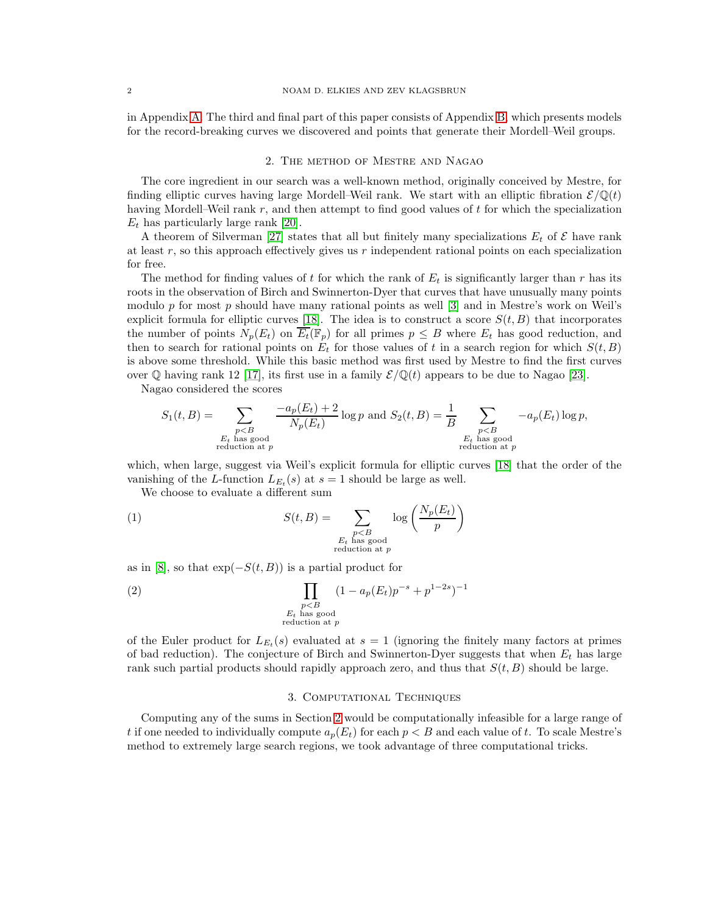<span id="page-1-0"></span>in Appendix [A.](#page-9-1) The third and final part of this paper consists of Appendix [B,](#page-10-0) which presents models for the record-breaking curves we discovered and points that generate their Mordell–Weil groups.

#### 2. The method of Mestre and Nagao

The core ingredient in our search was a well-known method, originally conceived by Mestre, for finding elliptic curves having large Mordell–Weil rank. We start with an elliptic fibration  $\mathcal{E}/\mathbb{Q}(t)$ having Mordell–Weil rank  $r$ , and then attempt to find good values of  $t$  for which the specialization  $E_t$  has particularly large rank [\[20\]](#page-14-6).

A theorem of Silverman [\[27\]](#page-14-7) states that all but finitely many specializations  $E_t$  of  $\mathcal E$  have rank at least  $r$ , so this approach effectively gives us  $r$  independent rational points on each specialization for free.

The method for finding values of t for which the rank of  $E_t$  is significantly larger than r has its roots in the observation of Birch and Swinnerton-Dyer that curves that have unusually many points modulo  $p$  for most  $p$  should have many rational points as well [\[3\]](#page-13-0) and in Mestre's work on Weil's explicit formula for elliptic curves [\[18\]](#page-14-8). The idea is to construct a score  $S(t, B)$  that incorporates the number of points  $N_p(E_t)$  on  $\overline{E_t}(\mathbb{F}_p)$  for all primes  $p \leq B$  where  $E_t$  has good reduction, and then to search for rational points on  $E_t$  for those values of t in a search region for which  $S(t, B)$ is above some threshold. While this basic method was first used by Mestre to find the first curves over  $\mathbb Q$  having rank 12 [\[17\]](#page-14-9), its first use in a family  $\mathcal E/\mathbb Q(t)$  appears to be due to Nagao [\[23\]](#page-14-10).

Nagao considered the scores

$$
S_1(t, B) = \sum_{\substack{p < B \\ E_t \text{ has good} \\ \text{reduction at } p}} \frac{-a_p(E_t) + 2}{N_p(E_t)} \log p \text{ and } S_2(t, B) = \frac{1}{B} \sum_{\substack{p < B \\ E_t \text{ has good} \\ \text{reduction at } p}} -a_p(E_t) \log p,
$$

which, when large, suggest via Weil's explicit formula for elliptic curves [\[18\]](#page-14-8) that the order of the vanishing of the L-function  $L_{E_t}(s)$  at  $s = 1$  should be large as well.

We choose to evaluate a different sum

(1) 
$$
S(t,B) = \sum_{\substack{p < B \\ E_t \text{ has good} \\ \text{reduction at } p}} \log \left( \frac{N_p(E_t)}{p} \right)
$$

as in [\[8\]](#page-14-11), so that  $\exp(-S(t, B))$  is a partial product for

(2) 
$$
\prod_{\substack{p \leq B \\ E_t \text{ has good} \\ \text{reduction at } p}} (1 - a_p(E_t)p^{-s} + p^{1-2s})^{-1}
$$

of the Euler product for  $L_{E_t}(s)$  evaluated at  $s = 1$  (ignoring the finitely many factors at primes of bad reduction). The conjecture of Birch and Swinnerton-Dyer suggests that when  $E_t$  has large rank such partial products should rapidly approach zero, and thus that  $S(t, B)$  should be large.

## 3. Computational Techniques

Computing any of the sums in Section [2](#page-1-0) would be computationally infeasible for a large range of t if one needed to individually compute  $a_p(E_t)$  for each  $p < B$  and each value of t. To scale Mestre's method to extremely large search regions, we took advantage of three computational tricks.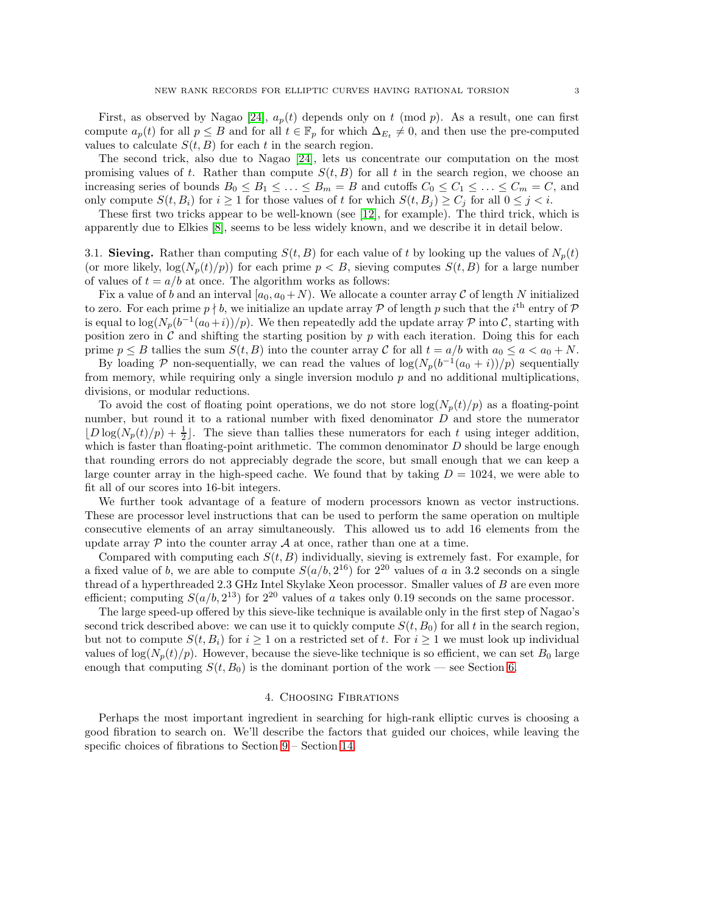First, as observed by Nagao [\[24\]](#page-14-12),  $a_p(t)$  depends only on t (mod p). As a result, one can first compute  $a_p(t)$  for all  $p \leq B$  and for all  $t \in \mathbb{F}_p$  for which  $\Delta_{E_t} \neq 0$ , and then use the pre-computed values to calculate  $S(t, B)$  for each t in the search region.

The second trick, also due to Nagao [\[24\]](#page-14-12), lets us concentrate our computation on the most promising values of t. Rather than compute  $S(t, B)$  for all t in the search region, we choose an increasing series of bounds  $B_0 \leq B_1 \leq \ldots \leq B_m = B$  and cutoffs  $C_0 \leq C_1 \leq \ldots \leq C_m = C$ , and only compute  $S(t, B_i)$  for  $i \geq 1$  for those values of t for which  $S(t, B_j) \geq C_j$  for all  $0 \leq j < i$ .

These first two tricks appear to be well-known (see [\[12\]](#page-14-13), for example). The third trick, which is apparently due to Elkies [\[8\]](#page-14-11), seems to be less widely known, and we describe it in detail below.

3.1. Sieving. Rather than computing  $S(t, B)$  for each value of t by looking up the values of  $N_p(t)$ (or more likely,  $\log(N_p(t)/p)$ ) for each prime  $p < B$ , sieving computes  $S(t, B)$  for a large number of values of  $t = a/b$  at once. The algorithm works as follows:

Fix a value of b and an interval  $[a_0, a_0 + N)$ . We allocate a counter array C of length N initialized to zero. For each prime  $p \nmid b$ , we initialize an update array  $\mathcal P$  of length p such that the i<sup>th</sup> entry of  $\mathcal P$ is equal to  $\log(N_p(b^{-1}(a_0+i))/p)$ . We then repeatedly add the update array P into C, starting with position zero in  $\mathcal C$  and shifting the starting position by p with each iteration. Doing this for each prime  $p \leq B$  tallies the sum  $S(t, B)$  into the counter array C for all  $t = a/b$  with  $a_0 \leq a < a_0 + N$ .

By loading P non-sequentially, we can read the values of  $\log(N_p(b^{-1}(a_0 + i))/p)$  sequentially from memory, while requiring only a single inversion modulo p and no additional multiplications, divisions, or modular reductions.

To avoid the cost of floating point operations, we do not store  $\log(N_p(t)/p)$  as a floating-point number, but round it to a rational number with fixed denominator D and store the numerator  $\lfloor D \log(N_p(t)/p) + \frac{1}{2} \rfloor$ . The sieve than tallies these numerators for each t using integer addition, which is faster than floating-point arithmetic. The common denominator  $D$  should be large enough that rounding errors do not appreciably degrade the score, but small enough that we can keep a large counter array in the high-speed cache. We found that by taking  $D = 1024$ , we were able to fit all of our scores into 16-bit integers.

We further took advantage of a feature of modern processors known as vector instructions. These are processor level instructions that can be used to perform the same operation on multiple consecutive elements of an array simultaneously. This allowed us to add 16 elements from the update array  $P$  into the counter array  $A$  at once, rather than one at a time.

Compared with computing each  $S(t, B)$  individually, sieving is extremely fast. For example, for a fixed value of b, we are able to compute  $S(a/b, 2^{16})$  for  $2^{20}$  values of a in 3.2 seconds on a single thread of a hyperthreaded 2.3 GHz Intel Skylake Xeon processor. Smaller values of B are even more efficient; computing  $S(a/b, 2^{13})$  for  $2^{20}$  values of a takes only 0.19 seconds on the same processor.

The large speed-up offered by this sieve-like technique is available only in the first step of Nagao's second trick described above: we can use it to quickly compute  $S(t, B_0)$  for all t in the search region, but not to compute  $S(t, B_i)$  for  $i \geq 1$  on a restricted set of t. For  $i \geq 1$  we must look up individual values of  $\log(N_p(t)/p)$ . However, because the sieve-like technique is so efficient, we can set  $B_0$  large enough that computing  $S(t, B_0)$  is the dominant portion of the work — see Section [6.](#page-4-0)

## 4. Choosing Fibrations

<span id="page-2-0"></span>Perhaps the most important ingredient in searching for high-rank elliptic curves is choosing a good fibration to search on. We'll describe the factors that guided our choices, while leaving the specific choices of fibrations to Section [9](#page-6-1) – Section [14.](#page-9-0)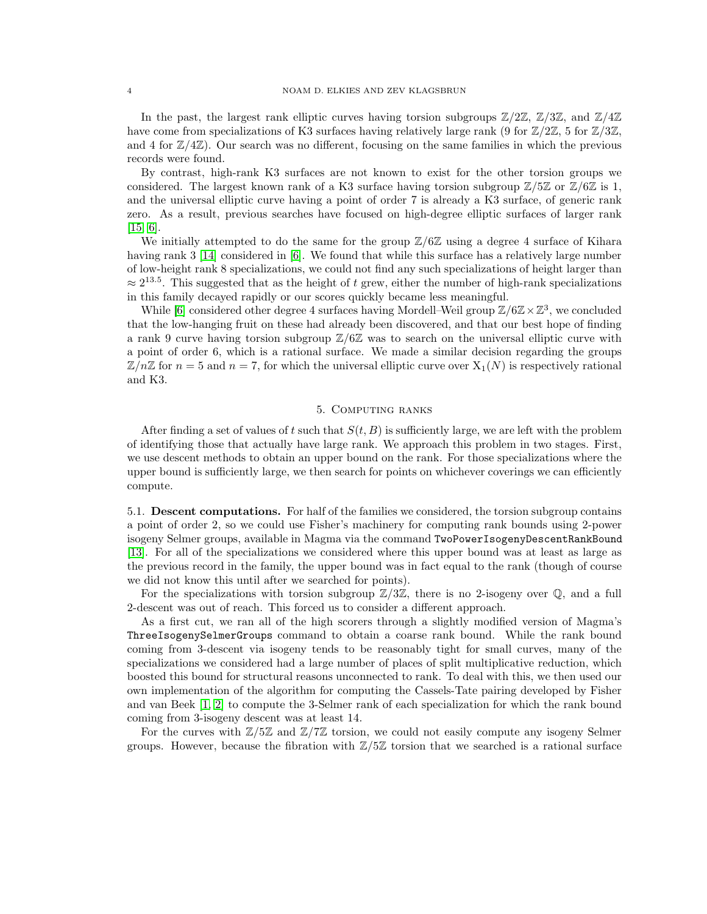In the past, the largest rank elliptic curves having torsion subgroups  $\mathbb{Z}/2\mathbb{Z}$ ,  $\mathbb{Z}/3\mathbb{Z}$ , and  $\mathbb{Z}/4\mathbb{Z}$ have come from specializations of K3 surfaces having relatively large rank (9 for  $\mathbb{Z}/2\mathbb{Z}$ , 5 for  $\mathbb{Z}/3\mathbb{Z}$ , and 4 for  $\mathbb{Z}/4\mathbb{Z}$ ). Our search was no different, focusing on the same families in which the previous records were found.

By contrast, high-rank K3 surfaces are not known to exist for the other torsion groups we considered. The largest known rank of a K3 surface having torsion subgroup  $\mathbb{Z}/5\mathbb{Z}$  or  $\mathbb{Z}/6\mathbb{Z}$  is 1, and the universal elliptic curve having a point of order 7 is already a K3 surface, of generic rank zero. As a result, previous searches have focused on high-degree elliptic surfaces of larger rank [\[15,](#page-14-14) [6\]](#page-13-1).

We initially attempted to do the same for the group  $\mathbb{Z}/6\mathbb{Z}$  using a degree 4 surface of Kihara having rank 3 [\[14\]](#page-14-15) considered in [\[6\]](#page-13-1). We found that while this surface has a relatively large number of low-height rank 8 specializations, we could not find any such specializations of height larger than  $\approx 2^{13.5}$ . This suggested that as the height of t grew, either the number of high-rank specializations in this family decayed rapidly or our scores quickly became less meaningful.

While [\[6\]](#page-13-1) considered other degree 4 surfaces having Mordell–Weil group  $\mathbb{Z}/6\mathbb{Z} \times \mathbb{Z}^3$ , we concluded that the low-hanging fruit on these had already been discovered, and that our best hope of finding a rank 9 curve having torsion subgroup  $\mathbb{Z}/6\mathbb{Z}$  was to search on the universal elliptic curve with a point of order 6, which is a rational surface. We made a similar decision regarding the groups  $\mathbb{Z}/n\mathbb{Z}$  for  $n=5$  and  $n=7$ , for which the universal elliptic curve over  $X_1(N)$  is respectively rational and K3.

#### 5. Computing ranks

After finding a set of values of t such that  $S(t, B)$  is sufficiently large, we are left with the problem of identifying those that actually have large rank. We approach this problem in two stages. First, we use descent methods to obtain an upper bound on the rank. For those specializations where the upper bound is sufficiently large, we then search for points on whichever coverings we can efficiently compute.

5.1. Descent computations. For half of the families we considered, the torsion subgroup contains a point of order 2, so we could use Fisher's machinery for computing rank bounds using 2-power isogeny Selmer groups, available in Magma via the command TwoPowerIsogenyDescentRankBound [\[13\]](#page-14-16). For all of the specializations we considered where this upper bound was at least as large as the previous record in the family, the upper bound was in fact equal to the rank (though of course we did not know this until after we searched for points).

For the specializations with torsion subgroup  $\mathbb{Z}/3\mathbb{Z}$ , there is no 2-isogeny over  $\mathbb{Q}$ , and a full 2-descent was out of reach. This forced us to consider a different approach.

As a first cut, we ran all of the high scorers through a slightly modified version of Magma's ThreeIsogenySelmerGroups command to obtain a coarse rank bound. While the rank bound coming from 3-descent via isogeny tends to be reasonably tight for small curves, many of the specializations we considered had a large number of places of split multiplicative reduction, which boosted this bound for structural reasons unconnected to rank. To deal with this, we then used our own implementation of the algorithm for computing the Cassels-Tate pairing developed by Fisher and van Beek [\[1,](#page-13-2) [2\]](#page-13-3) to compute the 3-Selmer rank of each specialization for which the rank bound coming from 3-isogeny descent was at least 14.

For the curves with  $\mathbb{Z}/5\mathbb{Z}$  and  $\mathbb{Z}/7\mathbb{Z}$  torsion, we could not easily compute any isogeny Selmer groups. However, because the fibration with  $\mathbb{Z}/5\mathbb{Z}$  torsion that we searched is a rational surface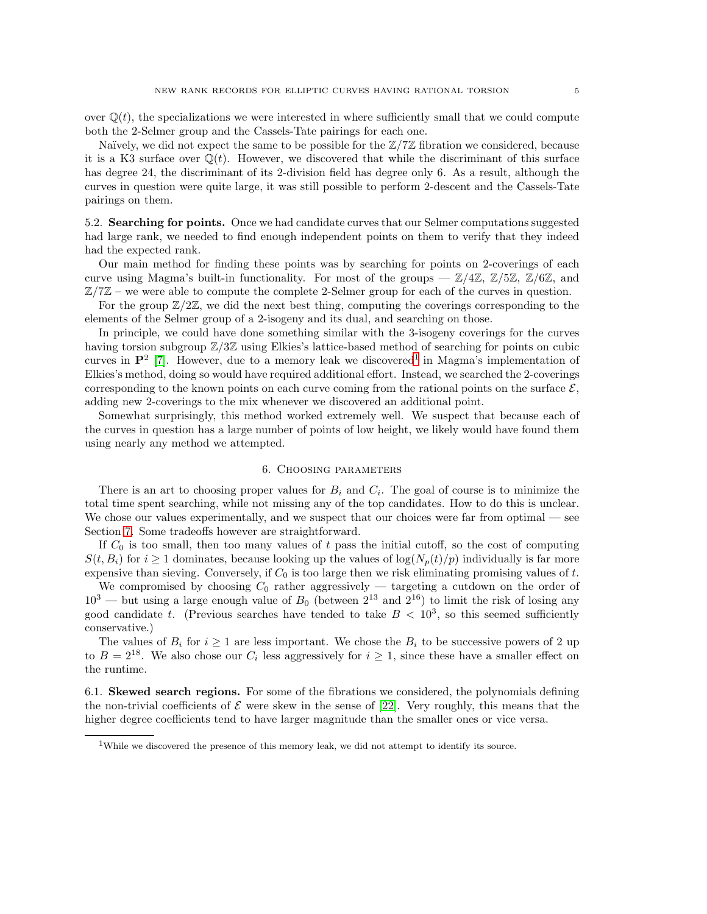over  $\mathbb{Q}(t)$ , the specializations we were interested in where sufficiently small that we could compute both the 2-Selmer group and the Cassels-Tate pairings for each one.

Naïvely, we did not expect the same to be possible for the  $\mathbb{Z}/7\mathbb{Z}$  fibration we considered, because it is a K3 surface over  $\mathbb{Q}(t)$ . However, we discovered that while the discriminant of this surface has degree 24, the discriminant of its 2-division field has degree only 6. As a result, although the curves in question were quite large, it was still possible to perform 2-descent and the Cassels-Tate pairings on them.

5.2. Searching for points. Once we had candidate curves that our Selmer computations suggested had large rank, we needed to find enough independent points on them to verify that they indeed had the expected rank.

Our main method for finding these points was by searching for points on 2-coverings of each curve using Magma's built-in functionality. For most of the groups —  $\mathbb{Z}/4\mathbb{Z}$ ,  $\mathbb{Z}/5\mathbb{Z}$ ,  $\mathbb{Z}/6\mathbb{Z}$ , and  $\mathbb{Z}/7\mathbb{Z}$  – we were able to compute the complete 2-Selmer group for each of the curves in question.

For the group  $\mathbb{Z}/2\mathbb{Z}$ , we did the next best thing, computing the coverings corresponding to the elements of the Selmer group of a 2-isogeny and its dual, and searching on those.

In principle, we could have done something similar with the 3-isogeny coverings for the curves having torsion subgroup  $\mathbb{Z}/3\mathbb{Z}$  using Elkies's lattice-based method of searching for points on cubic curves in  $\mathbf{P}^2$  [\[7\]](#page-14-17). However, due to a memory leak we discovered<sup>[1](#page-4-1)</sup> in Magma's implementation of Elkies's method, doing so would have required additional effort. Instead, we searched the 2-coverings corresponding to the known points on each curve coming from the rational points on the surface  $\mathcal{E}$ , adding new 2-coverings to the mix whenever we discovered an additional point.

Somewhat surprisingly, this method worked extremely well. We suspect that because each of the curves in question has a large number of points of low height, we likely would have found them using nearly any method we attempted.

## 6. Choosing parameters

<span id="page-4-0"></span>There is an art to choosing proper values for  $B_i$  and  $C_i$ . The goal of course is to minimize the total time spent searching, while not missing any of the top candidates. How to do this is unclear. We chose our values experimentally, and we suspect that our choices were far from optimal — see Section [7.](#page-5-0) Some tradeoffs however are straightforward.

If  $C_0$  is too small, then too many values of t pass the initial cutoff, so the cost of computing  $S(t, B_i)$  for  $i \geq 1$  dominates, because looking up the values of  $\log(N_p(t)/p)$  individually is far more expensive than sieving. Conversely, if  $C_0$  is too large then we risk eliminating promising values of  $t$ .

We compromised by choosing  $C_0$  rather aggressively — targeting a cutdown on the order of  $10^3$  — but using a large enough value of  $B_0$  (between  $2^{13}$  and  $2^{16}$ ) to limit the risk of losing any good candidate t. (Previous searches have tended to take  $B < 10^3$ , so this seemed sufficiently conservative.)

The values of  $B_i$  for  $i \geq 1$  are less important. We chose the  $B_i$  to be successive powers of 2 up to  $B = 2^{18}$ . We also chose our  $C_i$  less aggressively for  $i \geq 1$ , since these have a smaller effect on the runtime.

6.1. Skewed search regions. For some of the fibrations we considered, the polynomials defining the non-trivial coefficients of  $\mathcal E$  were skew in the sense of [\[22\]](#page-14-18). Very roughly, this means that the higher degree coefficients tend to have larger magnitude than the smaller ones or vice versa.

<span id="page-4-1"></span><sup>&</sup>lt;sup>1</sup>While we discovered the presence of this memory leak, we did not attempt to identify its source.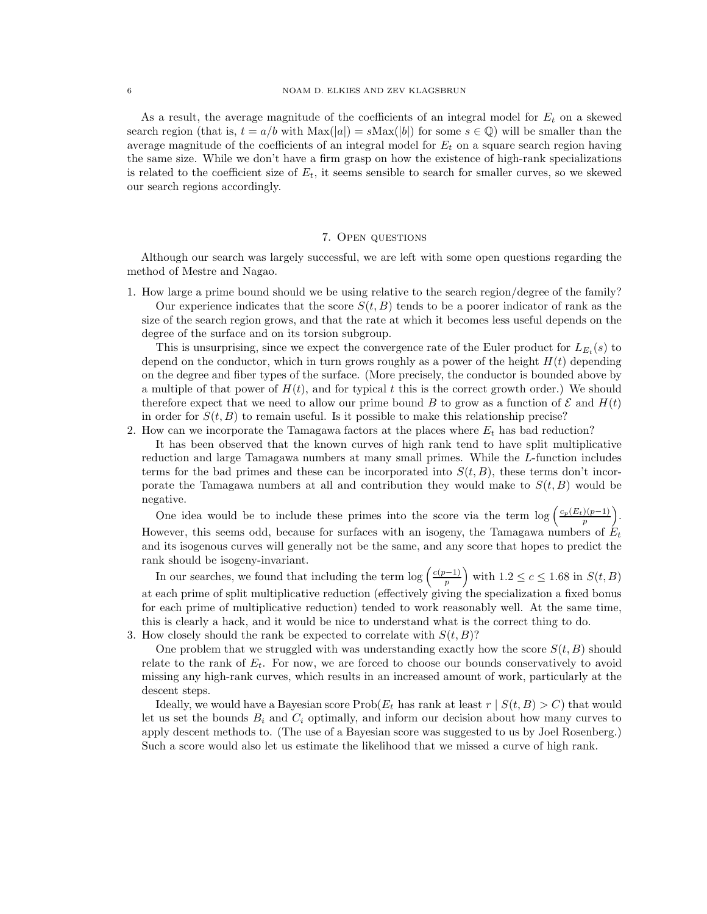As a result, the average magnitude of the coefficients of an integral model for  $E_t$  on a skewed search region (that is,  $t = a/b$  with  $Max(|a|) = sMax(|b|)$  for some  $s \in \mathbb{Q}$ ) will be smaller than the average magnitude of the coefficients of an integral model for  $E_t$  on a square search region having the same size. While we don't have a firm grasp on how the existence of high-rank specializations is related to the coefficient size of  $E_t$ , it seems sensible to search for smaller curves, so we skewed our search regions accordingly.

## 7. Open questions

<span id="page-5-0"></span>Although our search was largely successful, we are left with some open questions regarding the method of Mestre and Nagao.

1. How large a prime bound should we be using relative to the search region/degree of the family? Our experience indicates that the score  $S(t, B)$  tends to be a poorer indicator of rank as the size of the search region grows, and that the rate at which it becomes less useful depends on the degree of the surface and on its torsion subgroup.

This is unsurprising, since we expect the convergence rate of the Euler product for  $L_{E_t}(s)$  to depend on the conductor, which in turn grows roughly as a power of the height  $H(t)$  depending on the degree and fiber types of the surface. (More precisely, the conductor is bounded above by a multiple of that power of  $H(t)$ , and for typical t this is the correct growth order.) We should therefore expect that we need to allow our prime bound B to grow as a function of  $\mathcal E$  and  $H(t)$ in order for  $S(t, B)$  to remain useful. Is it possible to make this relationship precise?

2. How can we incorporate the Tamagawa factors at the places where  $E_t$  has bad reduction?

It has been observed that the known curves of high rank tend to have split multiplicative reduction and large Tamagawa numbers at many small primes. While the L-function includes terms for the bad primes and these can be incorporated into  $S(t, B)$ , these terms don't incorporate the Tamagawa numbers at all and contribution they would make to  $S(t, B)$  would be negative.

One idea would be to include these primes into the score via the term  $\log\left(\frac{c_p(E_t)(p-1)}{n}\right)$  $\frac{)(p-1)}{p}$ . However, this seems odd, because for surfaces with an isogeny, the Tamagawa numbers of  $E_t$ and its isogenous curves will generally not be the same, and any score that hopes to predict the rank should be isogeny-invariant.

In our searches, we found that including the term  $\log\left(\frac{c(p-1)}{n}\right)$  $\left(\frac{p-1}{p}\right)$  with  $1.2 \leq c \leq 1.68$  in  $S(t, B)$ at each prime of split multiplicative reduction (effectively giving the specialization a fixed bonus for each prime of multiplicative reduction) tended to work reasonably well. At the same time, this is clearly a hack, and it would be nice to understand what is the correct thing to do.

3. How closely should the rank be expected to correlate with  $S(t, B)$ ?

One problem that we struggled with was understanding exactly how the score  $S(t, B)$  should relate to the rank of  $E_t$ . For now, we are forced to choose our bounds conservatively to avoid missing any high-rank curves, which results in an increased amount of work, particularly at the descent steps.

Ideally, we would have a Bayesian score  $\text{Prob}(E_t)$  has rank at least  $r | S(t, B) > C$  that would let us set the bounds  $B_i$  and  $C_i$  optimally, and inform our decision about how many curves to apply descent methods to. (The use of a Bayesian score was suggested to us by Joel Rosenberg.) Such a score would also let us estimate the likelihood that we missed a curve of high rank.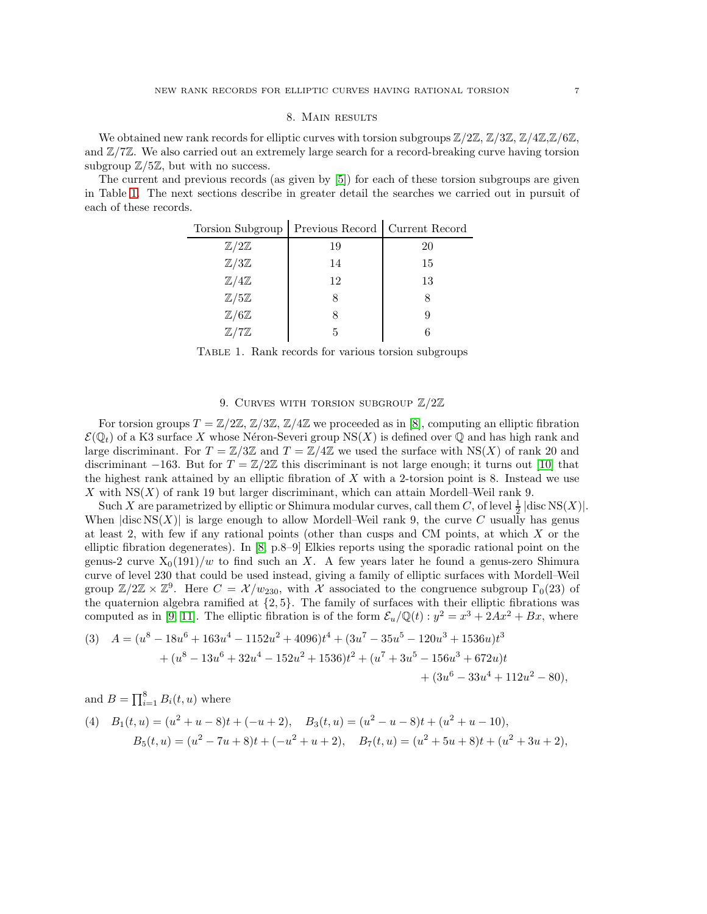#### 8. Main results

<span id="page-6-0"></span>We obtained new rank records for elliptic curves with torsion subgroups  $\mathbb{Z}/2\mathbb{Z}$ ,  $\mathbb{Z}/3\mathbb{Z}$ ,  $\mathbb{Z}/4\mathbb{Z}$ , $\mathbb{Z}/6\mathbb{Z}$ , and  $\mathbb{Z}/7\mathbb{Z}$ . We also carried out an extremely large search for a record-breaking curve having torsion subgroup  $\mathbb{Z}/5\mathbb{Z}$ , but with no success.

<span id="page-6-2"></span>The current and previous records (as given by [\[5\]](#page-13-4)) for each of these torsion subgroups are given in Table [1.](#page-6-2) The next sections describe in greater detail the searches we carried out in pursuit of each of these records.

| Torsion Subgroup   Previous Record   Current Record |    |    |
|-----------------------------------------------------|----|----|
| $\mathbb{Z}/2\mathbb{Z}$                            | 19 | 20 |
| $\mathbb{Z}/3\mathbb{Z}$                            | 14 | 15 |
| $\mathbb{Z}/4\mathbb{Z}$                            | 12 | 13 |
| $\mathbb{Z}/5\mathbb{Z}$                            |    |    |
| $\mathbb{Z}/6\mathbb{Z}$                            |    |    |
|                                                     | 5  |    |
|                                                     |    |    |

Table 1. Rank records for various torsion subgroups

# 9. CURVES WITH TORSION SUBGROUP  $\mathbb{Z}/2\mathbb{Z}$

<span id="page-6-1"></span>For torsion groups  $T = \mathbb{Z}/2\mathbb{Z}, \mathbb{Z}/3\mathbb{Z}, \mathbb{Z}/4\mathbb{Z}$  we proceeded as in [\[8\]](#page-14-11), computing an elliptic fibration  $\mathcal{E}(\mathbb{Q}_t)$  of a K3 surface X whose Néron-Severi group NS(X) is defined over Q and has high rank and large discriminant. For  $T = \mathbb{Z}/3\mathbb{Z}$  and  $T = \mathbb{Z}/4\mathbb{Z}$  we used the surface with NS(X) of rank 20 and discriminant  $-163$ . But for  $T = \mathbb{Z}/2\mathbb{Z}$  this discriminant is not large enough; it turns out [\[10\]](#page-14-19) that the highest rank attained by an elliptic fibration of  $X$  with a 2-torsion point is 8. Instead we use X with  $NS(X)$  of rank 19 but larger discriminant, which can attain Mordell–Weil rank 9.

Such X are parametrized by elliptic or Shimura modular curves, call them C, of level  $\frac{1}{2}$  disc NS(X). When  $|\text{disc}\,\text{NS}(X)|$  is large enough to allow Mordell–Weil rank 9, the curve C usually has genus at least 2, with few if any rational points (other than cusps and CM points, at which  $X$  or the elliptic fibration degenerates). In [\[8,](#page-14-11) p.8–9] Elkies reports using the sporadic rational point on the genus-2 curve  $X_0(191)/w$  to find such an X. A few years later he found a genus-zero Shimura curve of level 230 that could be used instead, giving a family of elliptic surfaces with Mordell–Weil group  $\mathbb{Z}/2\mathbb{Z} \times \mathbb{Z}^9$ . Here  $C = \mathcal{X}/w_{230}$ , with  $\mathcal X$  associated to the congruence subgroup  $\Gamma_0(23)$  of the quaternion algebra ramified at {2, 5}. The family of surfaces with their elliptic fibrations was computed as in [\[9,](#page-14-20) [11\]](#page-14-21). The elliptic fibration is of the form  $\mathcal{E}_u/\mathbb{Q}(t) : y^2 = x^3 + 2Ax^2 + Bx$ , where

<span id="page-6-3"></span>(3) 
$$
A = (u^8 - 18u^6 + 163u^4 - 1152u^2 + 4096)t^4 + (3u^7 - 35u^5 - 120u^3 + 1536u)t^3 + (u^8 - 13u^6 + 32u^4 - 152u^2 + 1536)t^2 + (u^7 + 3u^5 - 156u^3 + 672u)t + (3u^6 - 33u^4 + 112u^2 - 80),
$$

and  $B = \prod_{i=1}^{8} B_i(t, u)$  where

<span id="page-6-4"></span>(4) 
$$
B_1(t, u) = (u^2 + u - 8)t + (-u + 2),
$$
  $B_3(t, u) = (u^2 - u - 8)t + (u^2 + u - 10),$   
\n $B_5(t, u) = (u^2 - 7u + 8)t + (-u^2 + u + 2),$   $B_7(t, u) = (u^2 + 5u + 8)t + (u^2 + 3u + 2),$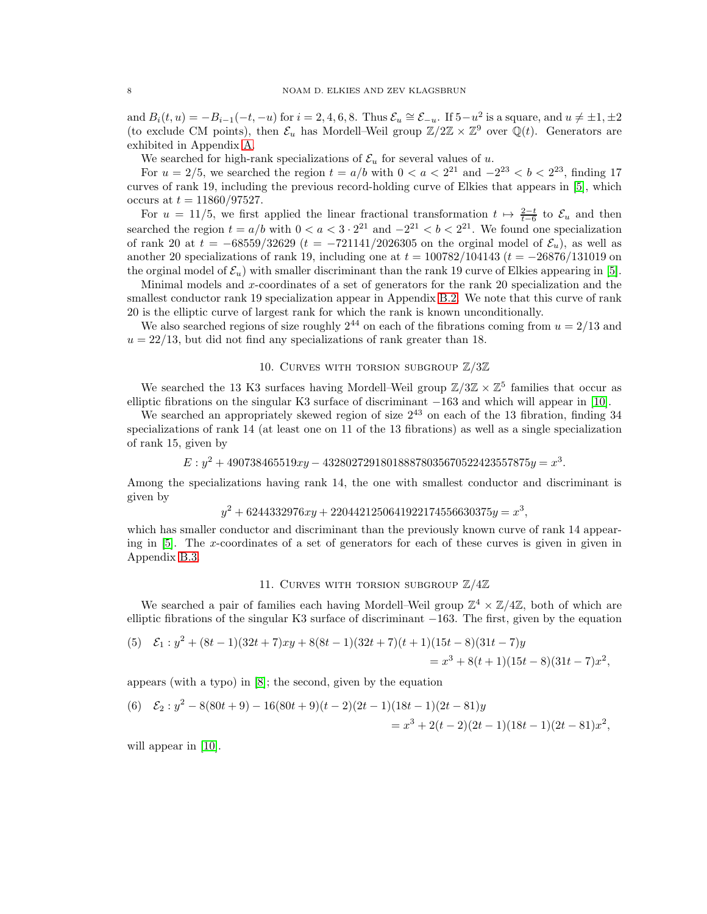and  $B_i(t, u) = -B_{i-1}(-t, -u)$  for  $i = 2, 4, 6, 8$ . Thus  $\mathcal{E}_u \cong \mathcal{E}_{-u}$ . If  $5-u^2$  is a square, and  $u \neq \pm 1, \pm 2$ (to exclude CM points), then  $\mathcal{E}_u$  has Mordell–Weil group  $\mathbb{Z}/2\mathbb{Z} \times \mathbb{Z}^9$  over  $\mathbb{Q}(t)$ . Generators are exhibited in Appendix [A.](#page-9-1)

We searched for high-rank specializations of  $\mathcal{E}_u$  for several values of u.

For  $u = 2/5$ , we searched the region  $t = a/b$  with  $0 < a < 2^{21}$  and  $-2^{23} < b < 2^{23}$ , finding 17 curves of rank 19, including the previous record-holding curve of Elkies that appears in [\[5\]](#page-13-4), which occurs at  $t = 11860/97527$ .

For  $u = 11/5$ , we first applied the linear fractional transformation  $t \mapsto \frac{2-t}{t-6}$  to  $\mathcal{E}_u$  and then searched the region  $t = a/b$  with  $0 < a < 3 \cdot 2^{21}$  and  $-2^{21} < b < 2^{21}$ . We found one specialization of rank 20 at  $t = -68559/32629$   $(t = -721141/2026305$  on the orginal model of  $\mathcal{E}_u$ , as well as another 20 specializations of rank 19, including one at  $t = 100782/104143$   $(t = -26876/131019$  on the orginal model of  $\mathcal{E}_u$ ) with smaller discriminant than the rank 19 curve of Elkies appearing in [\[5\]](#page-13-4).

Minimal models and x-coordinates of a set of generators for the rank 20 specialization and the smallest conductor rank 19 specialization appear in Appendix [B.2.](#page-10-1) We note that this curve of rank 20 is the elliptic curve of largest rank for which the rank is known unconditionally.

We also searched regions of size roughly  $2^{44}$  on each of the fibrations coming from  $u = 2/13$  and  $u = 22/13$ , but did not find any specializations of rank greater than 18.

## 10. CURVES WITH TORSION SUBGROUP  $\mathbb{Z}/3\mathbb{Z}$

We searched the 13 K3 surfaces having Mordell–Weil group  $\mathbb{Z}/3\mathbb{Z} \times \mathbb{Z}^5$  families that occur as elliptic fibrations on the singular K3 surface of discriminant −163 and which will appear in [\[10\]](#page-14-19).

We searched an appropriately skewed region of size  $2^{43}$  on each of the 13 fibration, finding 34 specializations of rank 14 (at least one on 11 of the 13 fibrations) as well as a single specialization of rank 15, given by

 $E: y^2 + 490738465519xy - 432802729180188878035670522423557875y = x^3.$ 

Among the specializations having rank 14, the one with smallest conductor and discriminant is given by

$$
y^2 + 6244332976xy + 2204421250641922174556630375y = x^3,
$$

which has smaller conductor and discriminant than the previously known curve of rank 14 appearing in [\[5\]](#page-13-4). The x-coordinates of a set of generators for each of these curves is given in given in Appendix [B.3.](#page-11-0)

## 11. Curves with torsion subgroup Z/4Z

We searched a pair of families each having Mordell–Weil group  $\mathbb{Z}^4 \times \mathbb{Z}/4\mathbb{Z}$ , both of which are elliptic fibrations of the singular K3 surface of discriminant −163. The first, given by the equation

(5) 
$$
\mathcal{E}_1 : y^2 + (8t - 1)(32t + 7)xy + 8(8t - 1)(32t + 7)(t + 1)(15t - 8)(31t - 7)y
$$
  
=  $x^3 + 8(t + 1)(15t - 8)(31t - 7)x^2$ ,

appears (with a typo) in [\[8\]](#page-14-11); the second, given by the equation

(6) 
$$
\mathcal{E}_2 : y^2 - 8(80t + 9) - 16(80t + 9)(t - 2)(2t - 1)(18t - 1)(2t - 81)y
$$
  
=  $x^3 + 2(t - 2)(2t - 1)(18t - 1)(2t - 81)x^2$ ,

will appear in [\[10\]](#page-14-19).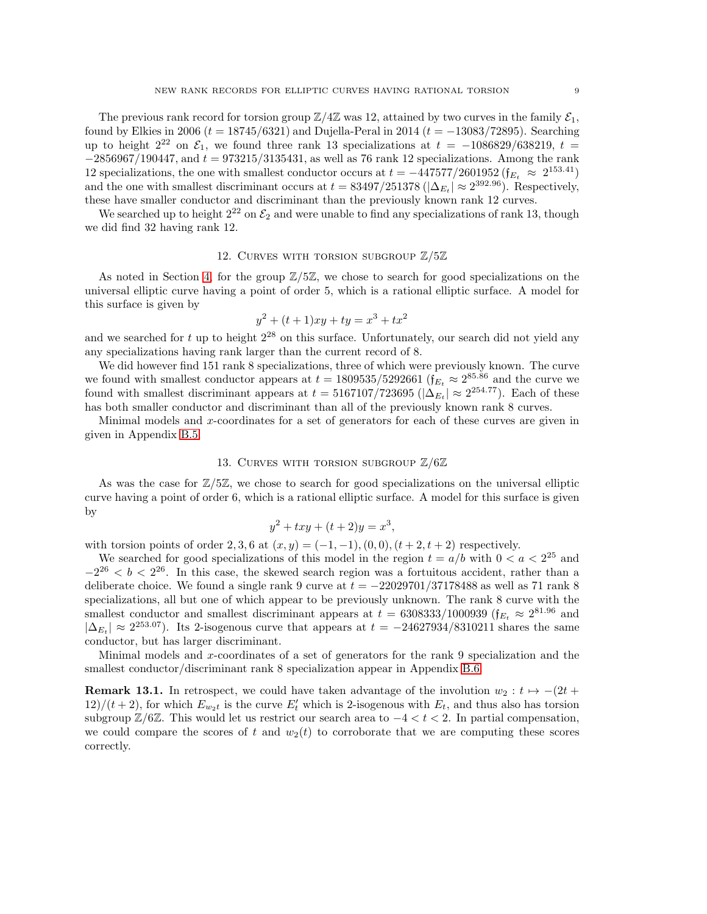The previous rank record for torsion group  $\mathbb{Z}/4\mathbb{Z}$  was 12, attained by two curves in the family  $\mathcal{E}_1$ , found by Elkies in 2006 ( $t = 18745/6321$ ) and Dujella-Peral in 2014 ( $t = -13083/72895$ ). Searching up to height  $2^{22}$  on  $\mathcal{E}_1$ , we found three rank 13 specializations at  $t = -1086829/638219$ ,  $t =$  $-2856967/190447$ , and  $t = 973215/3135431$ , as well as 76 rank 12 specializations. Among the rank 12 specializations, the one with smallest conductor occurs at  $t = -447577/2601952 (f_{E_t} \approx 2^{153.41})$ and the one with smallest discriminant occurs at  $t = 83497/251378 \left( |\Delta_{E_t}| \approx 2^{392.96} \right)$ . Respectively, these have smaller conductor and discriminant than the previously known rank 12 curves.

We searched up to height  $2^{22}$  on  $\mathcal{E}_2$  and were unable to find any specializations of rank 13, though we did find 32 having rank 12.

## 12. Curves with torsion subgroup Z/5Z

As noted in Section [4,](#page-2-0) for the group  $\mathbb{Z}/5\mathbb{Z}$ , we chose to search for good specializations on the universal elliptic curve having a point of order 5, which is a rational elliptic surface. A model for this surface is given by

$$
y^2 + (t+1)xy + ty = x^3 + tx^2
$$

and we searched for  $t$  up to height  $2^{28}$  on this surface. Unfortunately, our search did not yield any any specializations having rank larger than the current record of 8.

We did however find 151 rank 8 specializations, three of which were previously known. The curve we found with smallest conductor appears at  $t = 1809535/5292661$  ( $f_{E_t} \approx 2^{85.86}$  and the curve we found with smallest discriminant appears at  $t = 5167107/723695$  ( $|\Delta_{E_t}| \approx 2^{254.77}$ ). Each of these has both smaller conductor and discriminant than all of the previously known rank 8 curves.

Minimal models and x-coordinates for a set of generators for each of these curves are given in given in Appendix [B.5.](#page-12-0)

## 13. CURVES WITH TORSION SUBGROUP  $\mathbb{Z}/6\mathbb{Z}$

As was the case for  $\mathbb{Z}/5\mathbb{Z}$ , we chose to search for good specializations on the universal elliptic curve having a point of order 6, which is a rational elliptic surface. A model for this surface is given by

$$
y^2 + txy + (t+2)y = x^3,
$$

with torsion points of order 2, 3, 6 at  $(x, y) = (-1, -1), (0, 0), (t + 2, t + 2)$  respectively.

We searched for good specializations of this model in the region  $t = a/b$  with  $0 < a < 2^{25}$  and  $-2^{26} < b < 2^{26}$ . In this case, the skewed search region was a fortuitous accident, rather than a deliberate choice. We found a single rank 9 curve at  $t = -22029701/37178488$  as well as 71 rank 8 specializations, all but one of which appear to be previously unknown. The rank 8 curve with the smallest conductor and smallest discriminant appears at  $t = 6308333/1000939$  ( $f_{E_t} \approx 2^{81.96}$  and  $|\Delta_{E_t}| \approx 2^{253.07}$ ). Its 2-isogenous curve that appears at  $t = -24627934/8310211$  shares the same conductor, but has larger discriminant.

Minimal models and x-coordinates of a set of generators for the rank 9 specialization and the smallest conductor/discriminant rank 8 specialization appear in Appendix [B.6.](#page-13-5)

**Remark 13.1.** In retrospect, we could have taken advantage of the involution  $w_2 : t \mapsto -(2t +$  $12)/(t+2)$ , for which  $E_{w_2t}$  is the curve  $E'_t$  which is 2-isogenous with  $E_t$ , and thus also has torsion subgroup  $\mathbb{Z}/6\mathbb{Z}$ . This would let us restrict our search area to  $-4 < t < 2$ . In partial compensation, we could compare the scores of t and  $w_2(t)$  to corroborate that we are computing these scores correctly.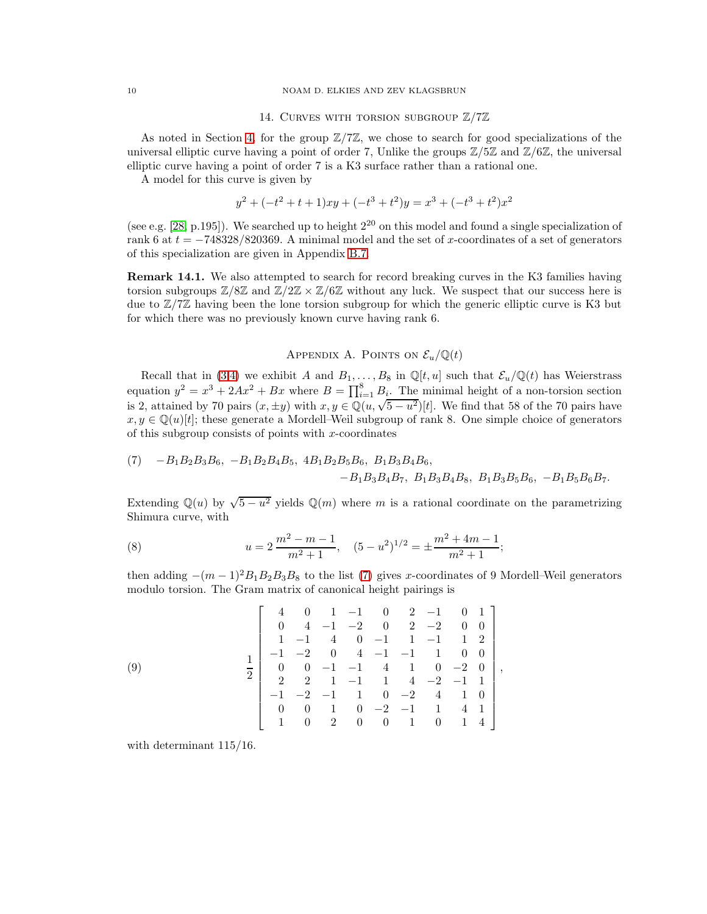#### <span id="page-9-0"></span>10 NOAM D. ELKIES AND ZEV KLAGSBRUN

#### 14. Curves with torsion subgroup Z/7Z

As noted in Section [4,](#page-2-0) for the group  $\mathbb{Z}/7\mathbb{Z}$ , we chose to search for good specializations of the universal elliptic curve having a point of order 7, Unlike the groups  $\mathbb{Z}/5\mathbb{Z}$  and  $\mathbb{Z}/6\mathbb{Z}$ , the universal elliptic curve having a point of order 7 is a K3 surface rather than a rational one.

A model for this curve is given by

$$
y^{2} + (-t^{2} + t + 1)xy + (-t^{3} + t^{2})y = x^{3} + (-t^{3} + t^{2})x^{2}
$$

(see e.g. [\[28,](#page-14-22) p.195]). We searched up to height  $2^{20}$  on this model and found a single specialization of rank 6 at  $t = -748328/820369$ . A minimal model and the set of x-coordinates of a set of generators of this specialization are given in Appendix [B.7.](#page-13-6)

**Remark 14.1.** We also attempted to search for record breaking curves in the K3 families having torsion subgroups  $\mathbb{Z}/8\mathbb{Z}$  and  $\mathbb{Z}/2\mathbb{Z} \times \mathbb{Z}/6\mathbb{Z}$  without any luck. We suspect that our success here is due to  $\mathbb{Z}/7\mathbb{Z}$  having been the lone torsion subgroup for which the generic elliptic curve is K3 but for which there was no previously known curve having rank 6.

# APPENDIX A. POINTS ON  $\mathcal{E}_u/\mathbb{Q}(t)$

<span id="page-9-1"></span>Recall that in [\(3](#page-6-3)[,4\)](#page-6-4) we exhibit A and  $B_1, \ldots, B_8$  in  $\mathbb{Q}[t, u]$  such that  $\mathcal{E}_u/\mathbb{Q}(t)$  has Weierstrass equation  $y^2 = x^3 + 2Ax^2 + Bx$  where  $B = \prod_{i=1}^8 B_i$ . The minimal height of a non-torsion section is 2, attained by 70 pairs  $(x, \pm y)$  with  $x, y \in \mathbb{Q}(u, \sqrt{5-u^2})[t]$ . We find that 58 of the 70 pairs have  $x, y \in \mathbb{Q}(u)[t]$ ; these generate a Mordell–Weil subgroup of rank 8. One simple choice of generators of this subgroup consists of points with  $x$ -coordinates

<span id="page-9-2"></span>(7) 
$$
-B_1B_2B_3B_6
$$
,  $-B_1B_2B_4B_5$ ,  $4B_1B_2B_5B_6$ ,  $B_1B_3B_4B_6$ ,  
 $-B_1B_3B_4B_7$ ,  $B_1B_3B_4B_8$ ,  $B_1B_3B_5B_6$ ,  $-B_1B_5B_6B_7$ .

Extending  $\mathbb{Q}(u)$  by  $\sqrt{5-u^2}$  yields  $\mathbb{Q}(m)$  where m is a rational coordinate on the parametrizing Shimura curve, with

(8) 
$$
u = 2 \frac{m^2 - m - 1}{m^2 + 1}, \quad (5 - u^2)^{1/2} = \pm \frac{m^2 + 4m - 1}{m^2 + 1};
$$

then adding  $-(m-1)^2B_1B_2B_3B_8$  to the list [\(7\)](#page-9-2) gives x-coordinates of 9 Mordell–Weil generators modulo torsion. The Gram matrix of canonical height pairings is

,

$$
\begin{bmatrix}\n4 & 0 & 1 & -1 & 0 & 2 & -1 & 0 & 1 \\
0 & 4 & -1 & -2 & 0 & 2 & -2 & 0 & 0 \\
1 & -1 & 4 & 0 & -1 & 1 & -1 & 1 & 2 \\
-1 & -2 & 0 & 4 & -1 & -1 & 1 & 0 & 0 \\
0 & 0 & -1 & -1 & 4 & 1 & 0 & -2 & 0 \\
2 & 2 & 1 & -1 & 1 & 4 & -2 & -1 & 1 \\
-1 & -2 & -1 & 1 & 0 & -2 & 4 & 1 & 0 \\
0 & 0 & 1 & 0 & -2 & -1 & 1 & 4 & 1 \\
1 & 0 & 2 & 0 & 0 & 1 & 0 & 1 & 4\n\end{bmatrix}
$$

with determinant 115/16.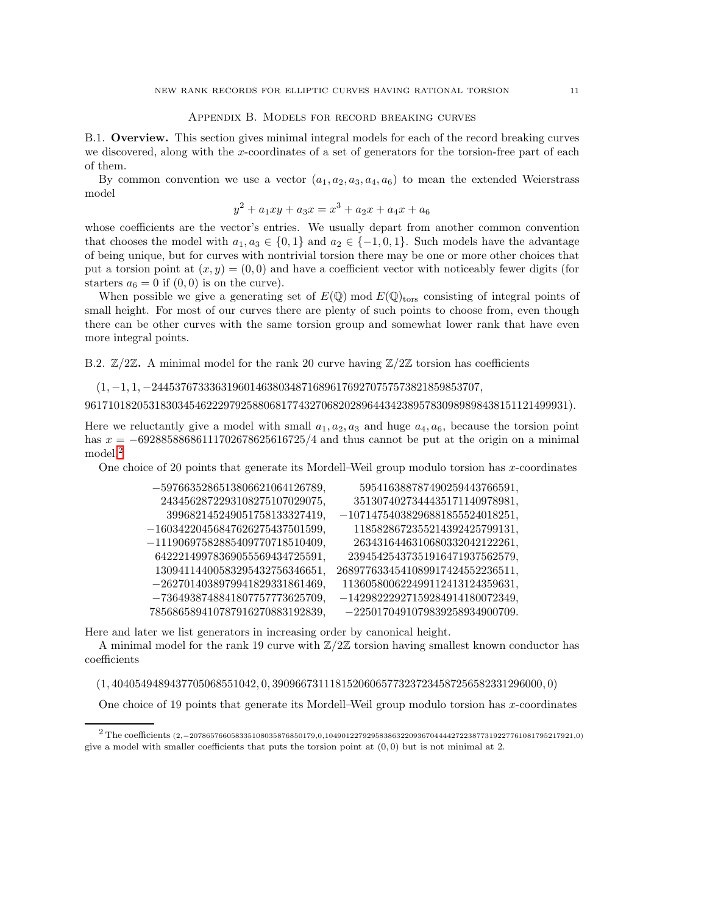### Appendix B. Models for record breaking curves

<span id="page-10-0"></span>B.1. Overview. This section gives minimal integral models for each of the record breaking curves we discovered, along with the x-coordinates of a set of generators for the torsion-free part of each of them.

By common convention we use a vector  $(a_1, a_2, a_3, a_4, a_6)$  to mean the extended Weierstrass model

$$
y^2 + a_1xy + a_3x = x^3 + a_2x + a_4x + a_6
$$

whose coefficients are the vector's entries. We usually depart from another common convention that chooses the model with  $a_1, a_3 \in \{0, 1\}$  and  $a_2 \in \{-1, 0, 1\}$ . Such models have the advantage of being unique, but for curves with nontrivial torsion there may be one or more other choices that put a torsion point at  $(x, y) = (0, 0)$  and have a coefficient vector with noticeably fewer digits (for starters  $a_6 = 0$  if  $(0, 0)$  is on the curve).

When possible we give a generating set of  $E(\mathbb{Q})$  mod  $E(\mathbb{Q})$ <sub>tors</sub> consisting of integral points of small height. For most of our curves there are plenty of such points to choose from, even though there can be other curves with the same torsion group and somewhat lower rank that have even more integral points.

<span id="page-10-1"></span>B.2.  $\mathbb{Z}/2\mathbb{Z}$ . A minimal model for the rank 20 curve having  $\mathbb{Z}/2\mathbb{Z}$  torsion has coefficients

(1, −1, 1, −244537673336319601463803487168961769270757573821859853707,

961710182053183034546222979258806817743270682028964434238957830989898438151121499931).

Here we reluctantly give a model with small  $a_1, a_2, a_3$  and huge  $a_4, a_6$ , because the torsion point has  $x = -69288588686111702678625616725/4$  and thus cannot be put at the origin on a minimal model.<sup>[2](#page-10-2)</sup>

One choice of 20 points that generate its Mordell–Weil group modulo torsion has  $x$ -coordinates

| $-5976635286513806621064126789,$  | 595416388787490259443766591,      |
|-----------------------------------|-----------------------------------|
| 2434562872293108275107029075,     | 3513074027344435171140978981,     |
| 399682145249051758133327419,      | $-10714754038296881855524018251,$ |
| $-16034220456847626275437501599.$ | 1185828672355214392425799131,     |
| $-11190697582885409770718510409.$ | 2634316446310680332042122261,     |
| 64222149978369055569434725591,    | 23945425437351916471937562579,    |
| 13094114400583295432756346651,    | 2689776334541089917424552236511,  |
| $-2627014038979941829331861469,$  | 113605800622499112413124359631,   |
| –7364938748841807757773625709.    | $-14298222927159284914180072349.$ |
| 785686589410787916270883192839,   | -2250170491079839258934900709.    |
|                                   |                                   |

Here and later we list generators in increasing order by canonical height.

A minimal model for the rank 19 curve with  $\mathbb{Z}/2\mathbb{Z}$  torsion having smallest known conductor has coefficients

(1, 4040549489437705068551042, 0, 39096673111815206065773237234587256582331296000, 0)

One choice of 19 points that generate its Mordell–Weil group modulo torsion has  $x$ -coordinates

<span id="page-10-2"></span> $^{\,2}$  The coefficients (2,−207865766058335108035876850179,0,10490122792958386322093670444427223877319227761081795217921,0) give a model with smaller coefficients that puts the torsion point at  $(0, 0)$  but is not minimal at 2.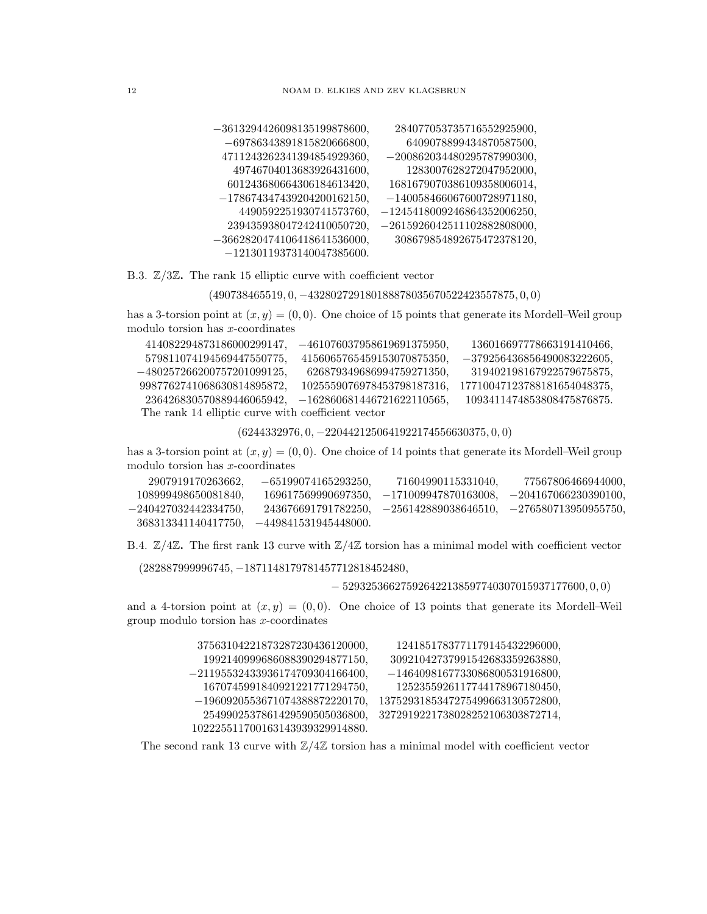| $-3613294426098135199878600.$ | 284077053735716552925900,     |
|-------------------------------|-------------------------------|
| $-69786343891815820666800,$   | 6409078899434870587500,       |
| 4711243262341394854929360,    | $-200862034480295787990300,$  |
| 49746704013683926431600.      | 1283007628272047952000,       |
| 601243680664306184613420.     | 1681679070386109358006014,    |
| $-178674347439204200162150.$  | $-140058466067600728971180,$  |
| 4490592251930741573760.       | $-1245418009246864352006250,$ |
| 239435938047242410050720,     | $-2615926042511102882808000,$ |
| $-3662820474106418641536000.$ | 308679854892675472378120,     |
| $-12130119373140047385600.$   |                               |
|                               |                               |

<span id="page-11-0"></span>B.3.  $\mathbb{Z}/3\mathbb{Z}$ . The rank 15 elliptic curve with coefficient vector

(490738465519, 0, −432802729180188878035670522423557875, 0, 0)

has a 3-torsion point at  $(x, y) = (0, 0)$ . One choice of 15 points that generate its Mordell–Weil group modulo torsion has x-coordinates

| 414082294873186000299147,                          | $-461076037958619691375950.$ | 136016697778663191410466,    |  |
|----------------------------------------------------|------------------------------|------------------------------|--|
| 579811074194569447550775,                          | 4156065765459153070875350,   | $-379256436856490083222605.$ |  |
| $-480257266200757201099125,$                       | 626879349686994759271350.    | 319402198167922579675875,    |  |
| 9987762741068630814895872,                         | 1025559076978453798187316,   | 17710047123788181654048375,  |  |
| 236426830570889446065942,                          | $-162860681446721622110565$  | 1093411474853808475876875.   |  |
| The rank 14 elliptic curve with coefficient vector |                              |                              |  |

(6244332976, 0, −2204421250641922174556630375, 0, 0)

has a 3-torsion point at  $(x, y) = (0, 0)$ . One choice of 14 points that generate its Mordell–Weil group modulo torsion has x-coordinates

 $2907919170263662, \t-65199074165293250, \t71604990115331040, \t77567806466944000,$ <br>108999498650081840, 169617569990697350, -171009947870163008, -204167066230390100,  $108999498650081840, 169617569990697350, -171009947870163008, -240427032442334750, 243676691791782250, -256142889038646510,$ −240427032442334750, 243676691791782250, −256142889038646510, −276580713950955750, 368313341140417750, −449841531945448000.

B.4.  $\mathbb{Z}/4\mathbb{Z}$ . The first rank 13 curve with  $\mathbb{Z}/4\mathbb{Z}$  torsion has a minimal model with coefficient vector

(282887999996745, −1871148179781457712818452480,

− 529325366275926422138597740307015937177600, 0, 0)

and a 4-torsion point at  $(x, y) = (0, 0)$ . One choice of 13 points that generate its Mordell–Weil group modulo torsion has x-coordinates

| 37563104221873287230436120000,    | 1241851783771179145432296000,    |
|-----------------------------------|----------------------------------|
| 1992140999686088390294877150,     | 30921042737991542683359263880,   |
| $-21195532433936174709304166400,$ | $-1464098167733086800531916800,$ |
| 1670745991840921221771294750,     | 1252355926117744178967180450,    |
| $-1960920553671074388872220170,$  | 1375293185347275499663130572800, |
| 2549902537861429590505036800,     | 3272919221738028252106303872714, |
| 102225511700163143939329914880.   |                                  |
|                                   |                                  |

The second rank 13 curve with  $\mathbb{Z}/4\mathbb{Z}$  torsion has a minimal model with coefficient vector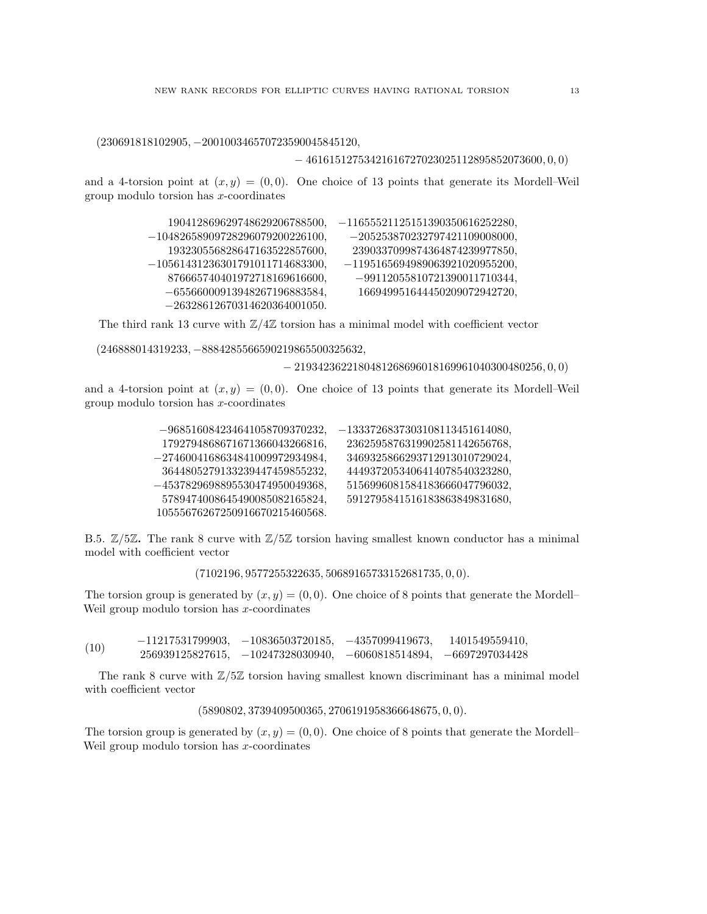## (230691818102905, −200100346570723590045845120,

## − 46161512753421616727023025112895852073600, 0, 0)

and a 4-torsion point at  $(x, y) = (0, 0)$ . One choice of 13 points that generate its Mordell–Weil group modulo torsion has x-coordinates

| 190412869629748629206788500,      | $-11655521125151390350616252280,$ |
|-----------------------------------|-----------------------------------|
| $-10482658909728296079200226100,$ | $-205253870232797421109008000,$   |
| 193230556828647163522857600,      | 2390337099874364874239977850,     |
| $-10561431236301791011714683300.$ | $-1195165694989063921020955200,$  |
| 876665740401972718169616600,      | $-99112055810721390011710344,$    |
| $-65566000913948267196883584.$    | 166949951644450209072942720,      |
| $-26328612670314620364001050.$    |                                   |

The third rank 13 curve with  $\mathbb{Z}/4\mathbb{Z}$  torsion has a minimal model with coefficient vector

```
(246888014319233, −8884285566590219865500325632,
```
− 2193423622180481268696018169961040300480256, 0, 0)

and a 4-torsion point at  $(x, y) = (0, 0)$ . One choice of 13 points that generate its Mordell–Weil group modulo torsion has x-coordinates

| $-968516084234641058709370232,$  | $-1333726837303108113451614080,$ |
|----------------------------------|----------------------------------|
| 1792794868671671366043266816.    | 2362595876319902581142656768.    |
| $-2746004168634841009972934984.$ | 3469325866293712913010729024,    |
| 3644805279133239447459855232,    | 4449372053406414078540323280,    |
| $-4537829698895530474950049368.$ | 5156996081584183666047796032,    |
| 5789474008645490085082165824,    | 5912795841516183863849831680,    |
| 10555676267250916670215460568.   |                                  |

<span id="page-12-0"></span>B.5.  $\mathbb{Z}/5\mathbb{Z}$ . The rank 8 curve with  $\mathbb{Z}/5\mathbb{Z}$  torsion having smallest known conductor has a minimal model with coefficient vector

(7102196, 9577255322635, 50689165733152681735, 0, 0).

The torsion group is generated by  $(x, y) = (0, 0)$ . One choice of 8 points that generate the Mordell– Weil group modulo torsion has  $x$ -coordinates

 $(10)$   $-11217531799903, -10836503720185, -4357099419673, 1401549559410,$ <br> $-606919514904, 606919514904, 6067907034498$ 256939125827615, −10247328030940, −6060818514894, −6697297034428

The rank 8 curve with  $\mathbb{Z}/5\mathbb{Z}$  torsion having smallest known discriminant has a minimal model with coefficient vector

(5890802, 3739409500365, 2706191958366648675, 0, 0).

The torsion group is generated by  $(x, y) = (0, 0)$ . One choice of 8 points that generate the Mordell– Weil group modulo torsion has x-coordinates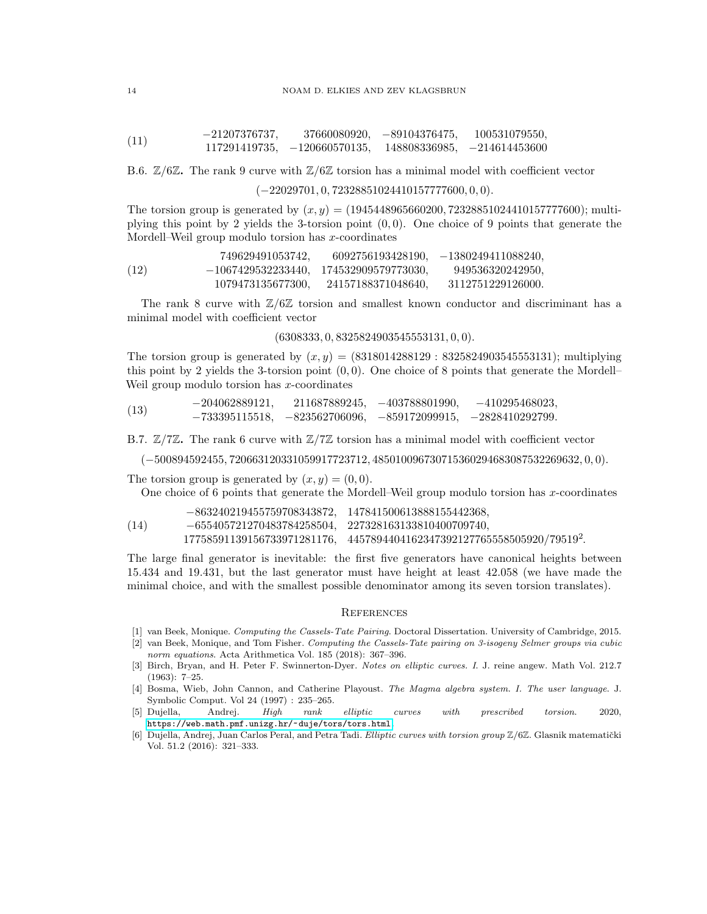|      | $-21207376737,$ | 37660080920.     | $-89104376475,$ | 100531079550,   |
|------|-----------------|------------------|-----------------|-----------------|
| (11) | 117291419735,   | $-120660570135.$ | 148808336985.   | $-214614453600$ |

<span id="page-13-5"></span>B.6.  $\mathbb{Z}/6\mathbb{Z}$ . The rank 9 curve with  $\mathbb{Z}/6\mathbb{Z}$  torsion has a minimal model with coefficient vector

(−22029701, 0, 72328851024410157777600, 0, 0).

The torsion group is generated by  $(x, y) = (1945448965660200, 72328851024410157777600)$ ; multiplying this point by 2 yields the 3-torsion point  $(0, 0)$ . One choice of 9 points that generate the Mordell–Weil group modulo torsion has x-coordinates

$$
(12) \qquad \qquad 749629491053742, \qquad 6092756193428190, \quad -1380249411088240, \\ \qquad -1067429532233440, \quad 174532909579773030, \qquad 949536320242950, \\ \qquad 1079473135677300, \quad 24157188371048640, \qquad 3112751229126000.
$$

The rank 8 curve with  $\mathbb{Z}/6\mathbb{Z}$  torsion and smallest known conductor and discriminant has a minimal model with coefficient vector

(6308333, 0, 8325824903545553131, 0, 0).

The torsion group is generated by  $(x, y) = (8318014288129 : 8325824903545553131)$ ; multiplying this point by 2 yields the 3-torsion point  $(0, 0)$ . One choice of 8 points that generate the Mordell– Weil group modulo torsion has x-coordinates

 $(13)$   $-204062889121,$   $211687889245,$   $-403788801990,$   $-410295468023,$ <br> $722205115518$   $822562706006$   $850172000015$   $2828410202700$ −733395115518, −823562706096, −859172099915, −2828410292799.

<span id="page-13-6"></span>B.7.  $\mathbb{Z}/7\mathbb{Z}$ . The rank 6 curve with  $\mathbb{Z}/7\mathbb{Z}$  torsion has a minimal model with coefficient vector

(−500894592455, 720663120331059917723712, 485010096730715360294683087532269632, 0, 0).

The torsion group is generated by  $(x, y) = (0, 0)$ .

One choice of 6 points that generate the Mordell–Weil group modulo torsion has  $x$ -coordinates

.

|      | $-863240219455759708343872, 147841500613888155442368,$     |                                                                                |
|------|------------------------------------------------------------|--------------------------------------------------------------------------------|
| (14) | $-655405721270483784258504$ , $227328163133810400709740$ , |                                                                                |
|      |                                                            | $17758591139156733971281176, \quad 4457894404162347392127765558505920/79519^2$ |

The large final generator is inevitable: the first five generators have canonical heights between 15.434 and 19.431, but the last generator must have height at least 42.058 (we have made the minimal choice, and with the smallest possible denominator among its seven torsion translates).

#### **REFERENCES**

- <span id="page-13-3"></span><span id="page-13-2"></span>[1] van Beek, Monique. Computing the Cassels-Tate Pairing. Doctoral Dissertation. University of Cambridge, 2015.
- [2] van Beek, Monique, and Tom Fisher. Computing the Cassels-Tate pairing on 3-isogeny Selmer groups via cubic norm equations. Acta Arithmetica Vol. 185 (2018): 367–396.
- <span id="page-13-0"></span>[3] Birch, Bryan, and H. Peter F. Swinnerton-Dyer. Notes on elliptic curves. I. J. reine angew. Math Vol. 212.7 (1963): 7–25.
- [4] Bosma, Wieb, John Cannon, and Catherine Playoust. The Magma algebra system. I. The user language. J. Symbolic Comput. Vol 24 (1997) : 235–265.
- <span id="page-13-4"></span>[5] Dujella, Andrej. High rank elliptic curves with prescribed torsion. 2020, <https://web.math.pmf.unizg.hr/~duje/tors/tors.html>.
- <span id="page-13-1"></span>[6] Dujella, Andrej, Juan Carlos Peral, and Petra Tadi. Elliptic curves with torsion group Z/6Z. Glasnik matematički Vol. 51.2 (2016): 321–333.